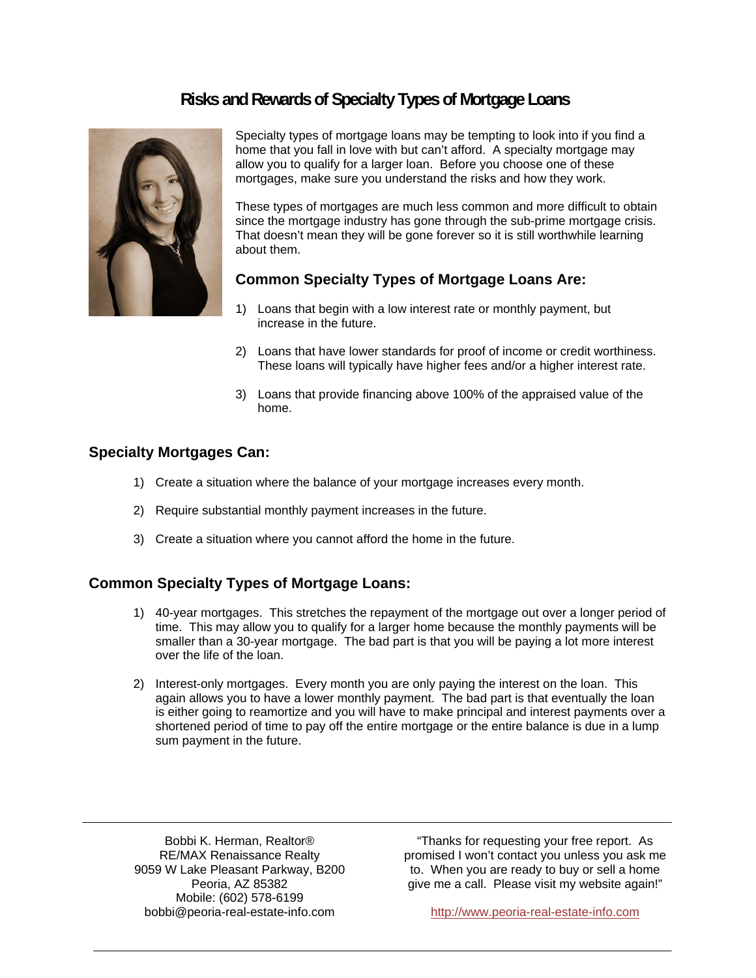# **Risks and Rewards of Specialty Types of Mortgage Loans**



Specialty types of mortgage loans may be tempting to look into if you find a home that you fall in love with but can't afford. A specialty mortgage may allow you to qualify for a larger loan. Before you choose one of these mortgages, make sure you understand the risks and how they work.

These types of mortgages are much less common and more difficult to obtain since the mortgage industry has gone through the sub-prime mortgage crisis. That doesn't mean they will be gone forever so it is still worthwhile learning about them.

## **Common Specialty Types of Mortgage Loans Are:**

- 1) Loans that begin with a low interest rate or monthly payment, but increase in the future.
- 2) Loans that have lower standards for proof of income or credit worthiness. These loans will typically have higher fees and/or a higher interest rate.
- 3) Loans that provide financing above 100% of the appraised value of the home.

#### **Specialty Mortgages Can:**

- 1) Create a situation where the balance of your mortgage increases every month.
- 2) Require substantial monthly payment increases in the future.
- 3) Create a situation where you cannot afford the home in the future.

### **Common Specialty Types of Mortgage Loans:**

- 1) 40-year mortgages. This stretches the repayment of the mortgage out over a longer period of time. This may allow you to qualify for a larger home because the monthly payments will be smaller than a 30-year mortgage. The bad part is that you will be paying a lot more interest over the life of the loan.
- 2) Interest-only mortgages. Every month you are only paying the interest on the loan. This again allows you to have a lower monthly payment. The bad part is that eventually the loan is either going to reamortize and you will have to make principal and interest payments over a shortened period of time to pay off the entire mortgage or the entire balance is due in a lump sum payment in the future.

Bobbi K. Herman, Realtor® RE/MAX Renaissance Realty 9059 W Lake Pleasant Parkway, B200 Peoria, AZ 85382 Mobile: (602) 578-6199 bobbi@peoria-real-estate-info.com http://www.peoria-real-estate-info.com

٦

"Thanks for requesting your free report. As promised I won't contact you unless you ask me to. When you are ready to buy or sell a home give me a call. Please visit my website again!"